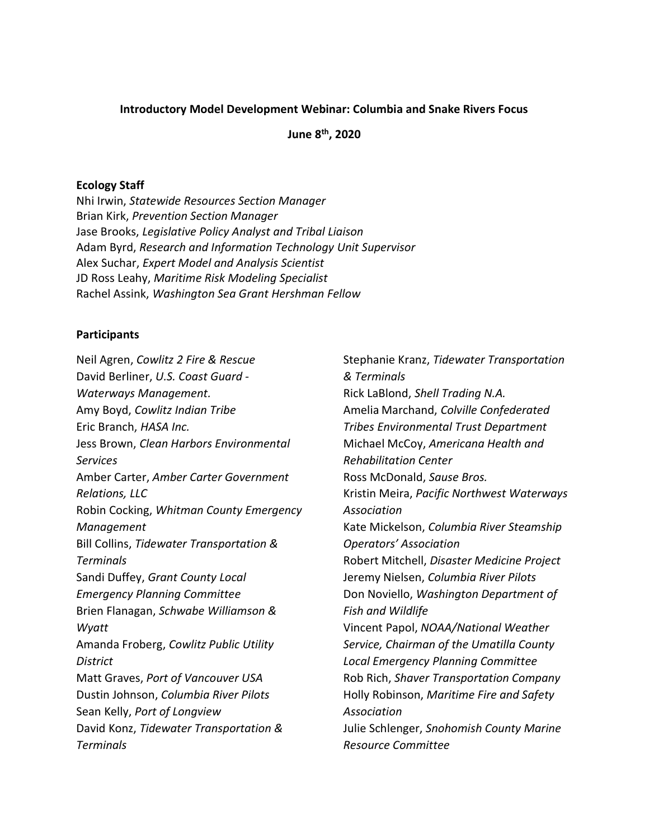#### Introductory Model Development Webinar: Columbia and Snake Rivers Focus

June 8th, 2020

#### Ecology Staff

Nhi Irwin, Statewide Resources Section Manager Brian Kirk, Prevention Section Manager Jase Brooks, Legislative Policy Analyst and Tribal Liaison Adam Byrd, Research and Information Technology Unit Supervisor Alex Suchar, Expert Model and Analysis Scientist JD Ross Leahy, Maritime Risk Modeling Specialist Rachel Assink, Washington Sea Grant Hershman Fellow

#### **Participants**

Neil Agren, Cowlitz 2 Fire & Rescue David Berliner, U.S. Coast Guard - Waterways Management. Amy Boyd, Cowlitz Indian Tribe Eric Branch, HASA Inc. Jess Brown, Clean Harbors Environmental Services Amber Carter, Amber Carter Government Relations, LLC Robin Cocking, Whitman County Emergency Management Bill Collins, Tidewater Transportation & **Terminals** Sandi Duffey, Grant County Local Emergency Planning Committee Brien Flanagan, Schwabe Williamson & Wyatt Amanda Froberg, Cowlitz Public Utility **District** Matt Graves, Port of Vancouver USA Dustin Johnson, Columbia River Pilots Sean Kelly, Port of Longview David Konz, Tidewater Transportation & **Terminals** 

Stephanie Kranz, Tidewater Transportation & Terminals Rick LaBlond, Shell Trading N.A. Amelia Marchand, Colville Confederated Tribes Environmental Trust Department Michael McCoy, Americana Health and Rehabilitation Center Ross McDonald, Sause Bros. Kristin Meira, Pacific Northwest Waterways Association Kate Mickelson, Columbia River Steamship Operators' Association Robert Mitchell, Disaster Medicine Project Jeremy Nielsen, Columbia River Pilots Don Noviello, Washington Department of Fish and Wildlife Vincent Papol, NOAA/National Weather Service, Chairman of the Umatilla County Local Emergency Planning Committee Rob Rich, Shaver Transportation Company Holly Robinson, Maritime Fire and Safety Association Julie Schlenger, Snohomish County Marine Resource Committee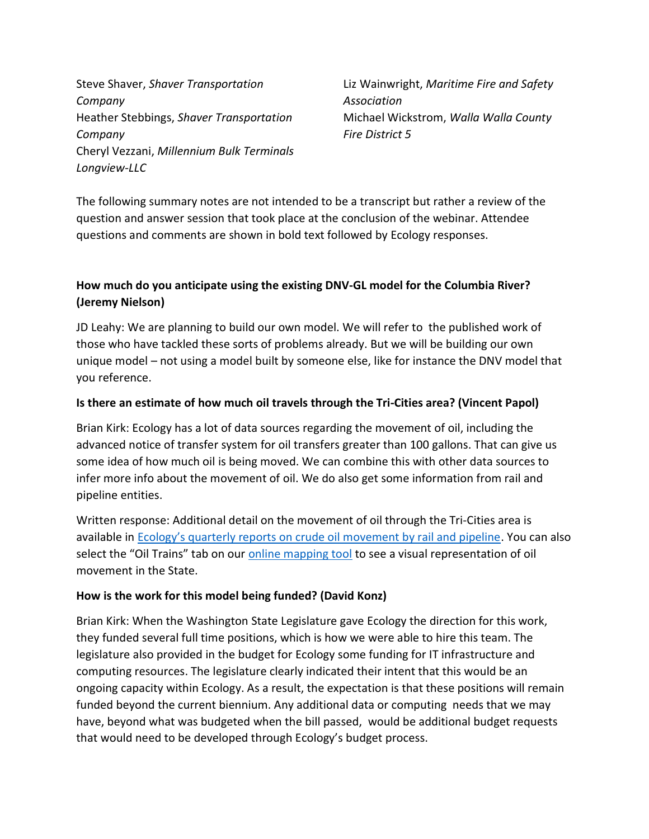Steve Shaver, Shaver Transportation Company Heather Stebbings, Shaver Transportation Company Cheryl Vezzani, Millennium Bulk Terminals Longview-LLC

Liz Wainwright, Maritime Fire and Safety Association Michael Wickstrom, Walla Walla County Fire District 5

The following summary notes are not intended to be a transcript but rather a review of the question and answer session that took place at the conclusion of the webinar. Attendee questions and comments are shown in bold text followed by Ecology responses.

# How much do you anticipate using the existing DNV-GL model for the Columbia River? (Jeremy Nielson)

JD Leahy: We are planning to build our own model. We will refer to the published work of those who have tackled these sorts of problems already. But we will be building our own unique model – not using a model built by someone else, like for instance the DNV model that you reference.

## Is there an estimate of how much oil travels through the Tri-Cities area? (Vincent Papol)

Brian Kirk: Ecology has a lot of data sources regarding the movement of oil, including the advanced notice of transfer system for oil transfers greater than 100 gallons. That can give us some idea of how much oil is being moved. We can combine this with other data sources to infer more info about the movement of oil. We do also get some information from rail and pipeline entities.

Written response: Additional detail on the movement of oil through the Tri-Cities area is available in Ecology's quarterly reports on crude oil movement by rail and pipeline. You can also select the "Oil Trains" tab on our online mapping tool to see a visual representation of oil movement in the State.

## How is the work for this model being funded? (David Konz)

Brian Kirk: When the Washington State Legislature gave Ecology the direction for this work, they funded several full time positions, which is how we were able to hire this team. The legislature also provided in the budget for Ecology some funding for IT infrastructure and computing resources. The legislature clearly indicated their intent that this would be an ongoing capacity within Ecology. As a result, the expectation is that these positions will remain funded beyond the current biennium. Any additional data or computing needs that we may have, beyond what was budgeted when the bill passed, would be additional budget requests that would need to be developed through Ecology's budget process.